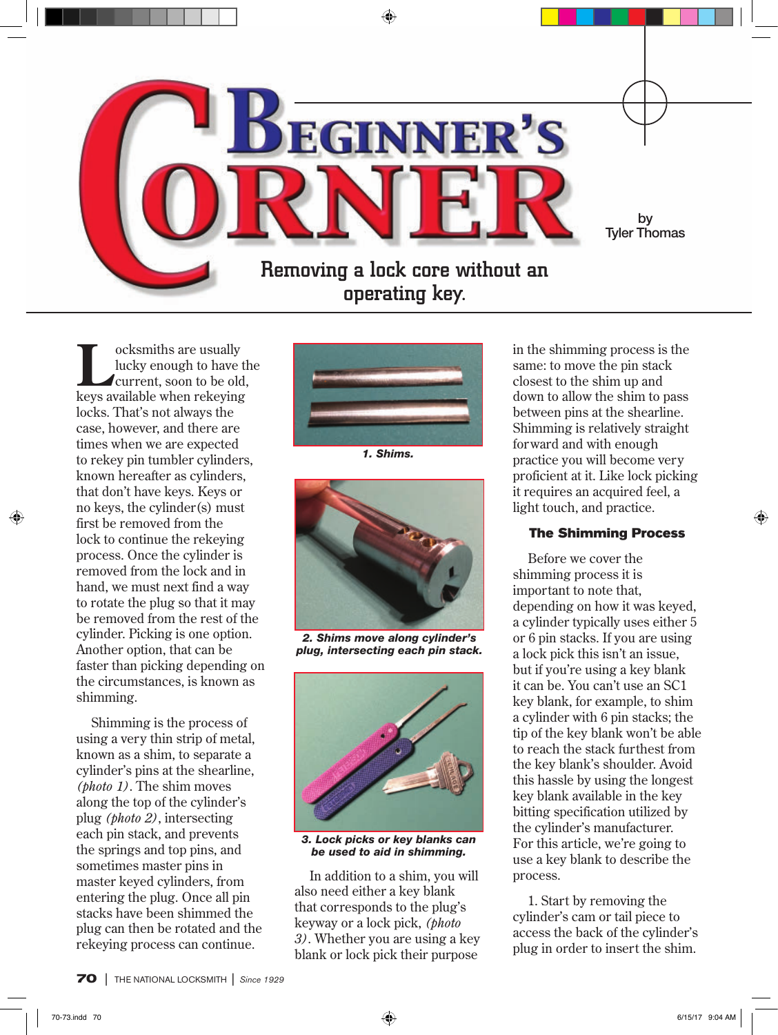

Locksmiths are usually<br>lucky enough to have the current, soon to be old lucky enough to have the current, soon to be old, keys available when rekeying locks. That's not always the case, however, and there are times when we are expected to rekey pin tumbler cylinders, known hereafter as cylinders, that don't have keys. Keys or no keys, the cylinder(s) must first be removed from the lock to continue the rekeying process. Once the cylinder is removed from the lock and in hand, we must next find a way to rotate the plug so that it may be removed from the rest of the cylinder. Picking is one option. Another option, that can be faster than picking depending on the circumstances, is known as shimming.

Shimming is the process of using a very thin strip of metal, known as a shim, to separate a cylinder's pins at the shearline, *(photo 1)*. The shim moves along the top of the cylinder's plug *(photo 2)*, intersecting each pin stack, and prevents the springs and top pins, and sometimes master pins in master keyed cylinders, from entering the plug. Once all pin stacks have been shimmed the plug can then be rotated and the rekeying process can continue.



*1. Shims.*



*2. Shims move along cylinder's plug, intersecting each pin stack.*



*3. Lock picks or key blanks can be used to aid in shimming.*

In addition to a shim, you will also need either a key blank that corresponds to the plug's keyway or a lock pick, *(photo 3)*. Whether you are using a key blank or lock pick their purpose

in the shimming process is the same: to move the pin stack closest to the shim up and down to allow the shim to pass between pins at the shearline. Shimming is relatively straight forward and with enough practice you will become very proficient at it. Like lock picking it requires an acquired feel, a light touch, and practice.

## The Shimming Process

Before we cover the shimming process it is important to note that, depending on how it was keyed, a cylinder typically uses either 5 or 6 pin stacks. If you are using a lock pick this isn't an issue, but if you're using a key blank it can be. You can't use an SC1 key blank, for example, to shim a cylinder with 6 pin stacks; the tip of the key blank won't be able to reach the stack furthest from the key blank's shoulder. Avoid this hassle by using the longest key blank available in the key bitting specification utilized by the cylinder's manufacturer. For this article, we're going to use a key blank to describe the process.

1. Start by removing the cylinder's cam or tail piece to access the back of the cylinder's plug in order to insert the shim.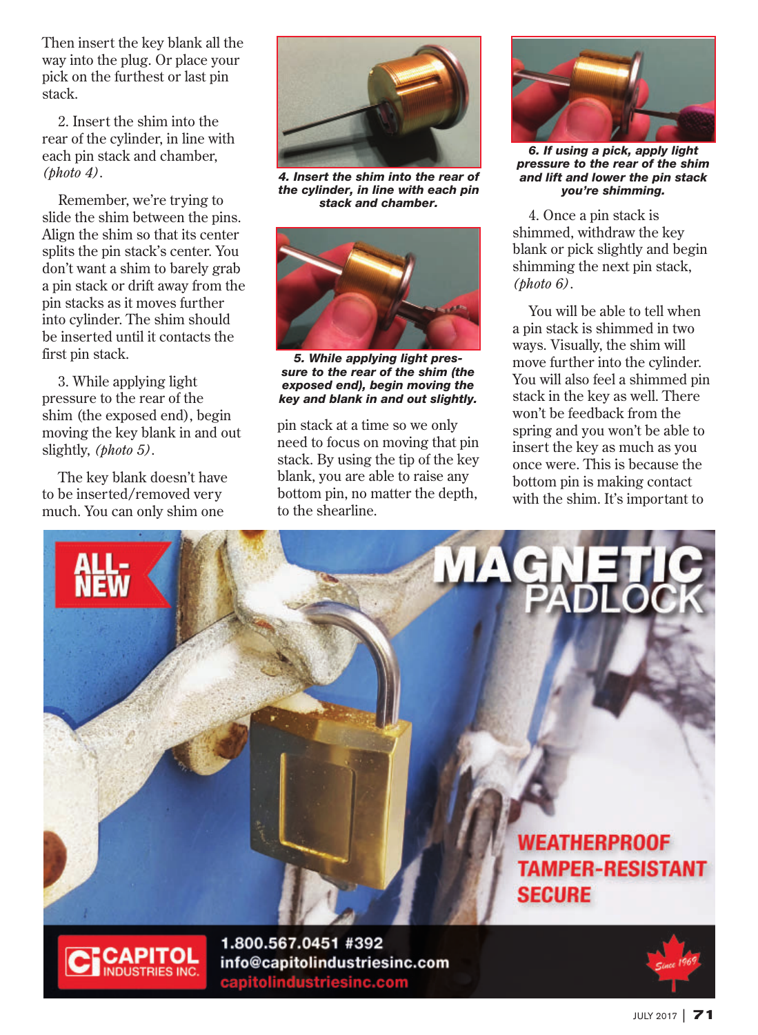Then insert the key blank all the way into the plug. Or place your pick on the furthest or last pin stack.

2. Insert the shim into the rear of the cylinder, in line with each pin stack and chamber, *(photo 4)*.

Remember, we're trying to slide the shim between the pins. Align the shim so that its center splits the pin stack's center. You don't want a shim to barely grab a pin stack or drift away from the pin stacks as it moves further into cylinder. The shim should be inserted until it contacts the first pin stack.

3. While applying light pressure to the rear of the shim (the exposed end), begin moving the key blank in and out slightly, *(photo 5)*.

The key blank doesn't have to be inserted/removed very much. You can only shim one



*4. Insert the shim into the rear of the cylinder, in line with each pin stack and chamber.*



*5. While applying light pressure to the rear of the shim (the exposed end), begin moving the key and blank in and out slightly.*

pin stack at a time so we only need to focus on moving that pin stack. By using the tip of the key blank, you are able to raise any bottom pin, no matter the depth, to the shearline.



*6. If using a pick, apply light pressure to the rear of the shim and lift and lower the pin stack you're shimming.*

4. Once a pin stack is shimmed, withdraw the key blank or pick slightly and begin shimming the next pin stack, *(photo 6)*.

You will be able to tell when a pin stack is shimmed in two ways. Visually, the shim will move further into the cylinder. You will also feel a shimmed pin stack in the key as well. There won't be feedback from the spring and you won't be able to insert the key as much as you once were. This is because the bottom pin is making contact with the shim. It's important to





1.800.567.0451 #392 info@capitolindustriesinc.com capitolindustriesinc.com

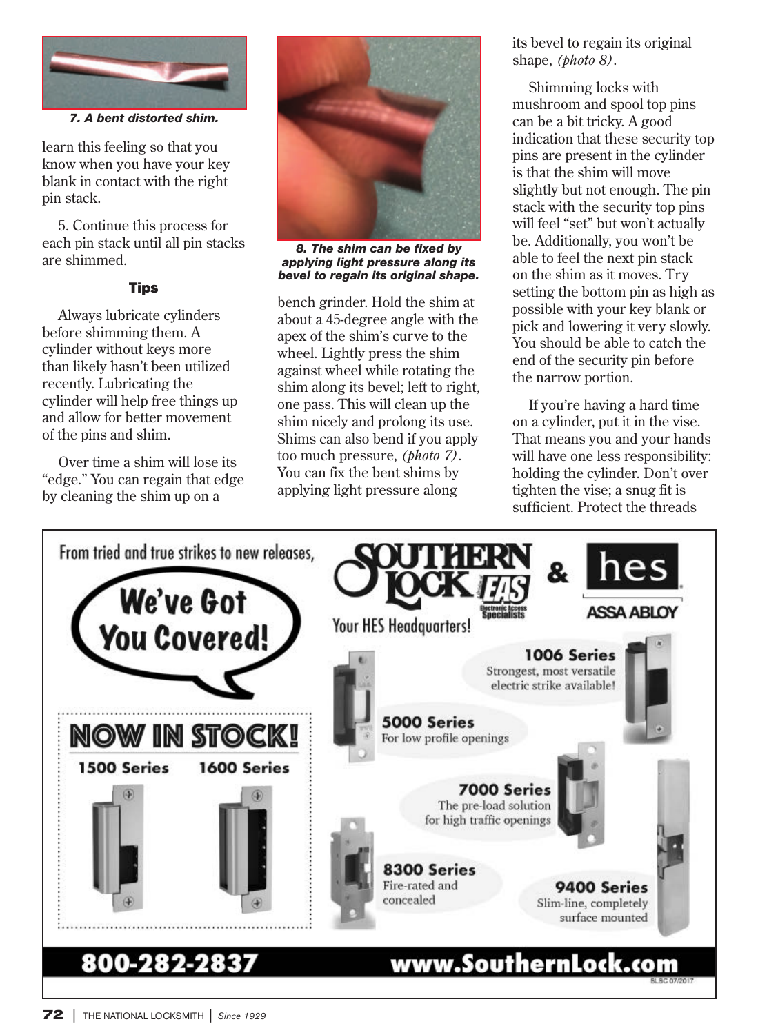

*7. A bent distorted shim.*

learn this feeling so that you know when you have your key blank in contact with the right pin stack.

5. Continue this process for each pin stack until all pin stacks are shimmed.

## **Tips**

Always lubricate cylinders before shimming them. A cylinder without keys more than likely hasn't been utilized recently. Lubricating the cylinder will help free things up and allow for better movement of the pins and shim.

Over time a shim will lose its "edge." You can regain that edge by cleaning the shim up on a



*8. The shim can be fixed by applying light pressure along its bevel to regain its original shape.*

bench grinder. Hold the shim at about a 45-degree angle with the apex of the shim's curve to the wheel. Lightly press the shim against wheel while rotating the shim along its bevel; left to right, one pass. This will clean up the shim nicely and prolong its use. Shims can also bend if you apply too much pressure, *(photo 7)*. You can fix the bent shims by applying light pressure along

its bevel to regain its original shape, *(photo 8)*.

Shimming locks with mushroom and spool top pins can be a bit tricky. A good indication that these security top pins are present in the cylinder is that the shim will move slightly but not enough. The pin stack with the security top pins will feel "set" but won't actually be. Additionally, you won't be able to feel the next pin stack on the shim as it moves. Try setting the bottom pin as high as possible with your key blank or pick and lowering it very slowly. You should be able to catch the end of the security pin before the narrow portion.

If you're having a hard time on a cylinder, put it in the vise. That means you and your hands will have one less responsibility: holding the cylinder. Don't over tighten the vise; a snug fit is sufficient. Protect the threads